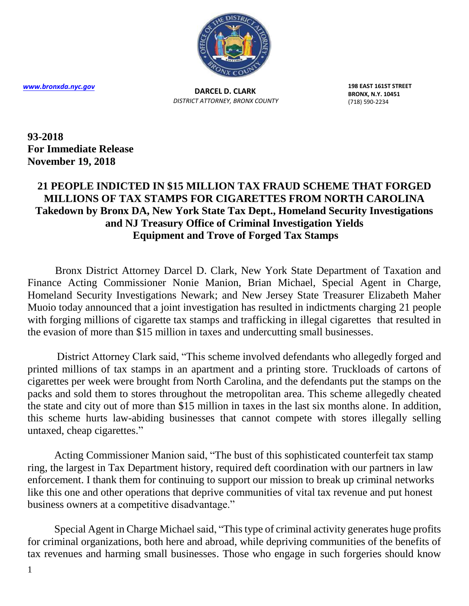

**DARCEL D. CLARK** *DISTRICT ATTORNEY, BRONX COUNTY* **198 EAST 161ST STREET BRONX, N.Y. 10451** (718) 590-2234

**93-2018 For Immediate Release November 19, 2018**

## **21 PEOPLE INDICTED IN \$15 MILLION TAX FRAUD SCHEME THAT FORGED MILLIONS OF TAX STAMPS FOR CIGARETTES FROM NORTH CAROLINA Takedown by Bronx DA, New York State Tax Dept., Homeland Security Investigations and NJ Treasury Office of Criminal Investigation Yields Equipment and Trove of Forged Tax Stamps**

Bronx District Attorney Darcel D. Clark, New York State Department of Taxation and Finance Acting Commissioner Nonie Manion, Brian Michael, Special Agent in Charge, Homeland Security Investigations Newark; and New Jersey State Treasurer Elizabeth Maher Muoio today announced that a joint investigation has resulted in indictments charging 21 people with forging millions of cigarette tax stamps and trafficking in illegal cigarettes that resulted in the evasion of more than \$15 million in taxes and undercutting small businesses.

 District Attorney Clark said, "This scheme involved defendants who allegedly forged and printed millions of tax stamps in an apartment and a printing store. Truckloads of cartons of cigarettes per week were brought from North Carolina, and the defendants put the stamps on the packs and sold them to stores throughout the metropolitan area. This scheme allegedly cheated the state and city out of more than \$15 million in taxes in the last six months alone. In addition, this scheme hurts law-abiding businesses that cannot compete with stores illegally selling untaxed, cheap cigarettes."

 Acting Commissioner Manion said, "The bust of this sophisticated counterfeit tax stamp ring, the largest in Tax Department history, required deft coordination with our partners in law enforcement. I thank them for continuing to support our mission to break up criminal networks like this one and other operations that deprive communities of vital tax revenue and put honest business owners at a competitive disadvantage."

 Special Agent in Charge Michael said, "This type of criminal activity generates huge profits for criminal organizations, both here and abroad, while depriving communities of the benefits of tax revenues and harming small businesses. Those who engage in such forgeries should know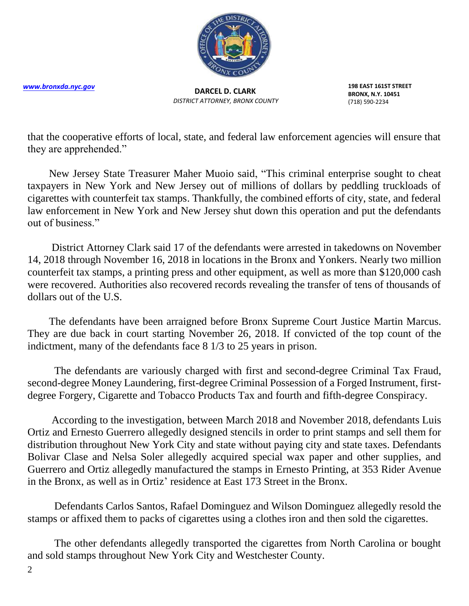

**DARCEL D. CLARK** *DISTRICT ATTORNEY, BRONX COUNTY* **198 EAST 161ST STREET BRONX, N.Y. 10451** (718) 590-2234

that the cooperative efforts of local, state, and federal law enforcement agencies will ensure that they are apprehended."

 New Jersey State Treasurer Maher Muoio said, "This criminal enterprise sought to cheat taxpayers in New York and New Jersey out of millions of dollars by peddling truckloads of cigarettes with counterfeit tax stamps. Thankfully, the combined efforts of city, state, and federal law enforcement in New York and New Jersey shut down this operation and put the defendants out of business."

 District Attorney Clark said 17 of the defendants were arrested in takedowns on November 14, 2018 through November 16, 2018 in locations in the Bronx and Yonkers. Nearly two million counterfeit tax stamps, a printing press and other equipment, as well as more than \$120,000 cash were recovered. Authorities also recovered records revealing the transfer of tens of thousands of dollars out of the U.S.

 The defendants have been arraigned before Bronx Supreme Court Justice Martin Marcus. They are due back in court starting November 26, 2018. If convicted of the top count of the indictment, many of the defendants face 8 1/3 to 25 years in prison.

 The defendants are variously charged with first and second-degree Criminal Tax Fraud, second-degree Money Laundering, first-degree Criminal Possession of a Forged Instrument, firstdegree Forgery, Cigarette and Tobacco Products Tax and fourth and fifth-degree Conspiracy.

 According to the investigation, between March 2018 and November 2018, defendants Luis Ortiz and Ernesto Guerrero allegedly designed stencils in order to print stamps and sell them for distribution throughout New York City and state without paying city and state taxes. Defendants Bolivar Clase and Nelsa Soler allegedly acquired special wax paper and other supplies, and Guerrero and Ortiz allegedly manufactured the stamps in Ernesto Printing, at 353 Rider Avenue in the Bronx, as well as in Ortiz' residence at East 173 Street in the Bronx.

 Defendants Carlos Santos, Rafael Dominguez and Wilson Dominguez allegedly resold the stamps or affixed them to packs of cigarettes using a clothes iron and then sold the cigarettes.

 The other defendants allegedly transported the cigarettes from North Carolina or bought and sold stamps throughout New York City and Westchester County.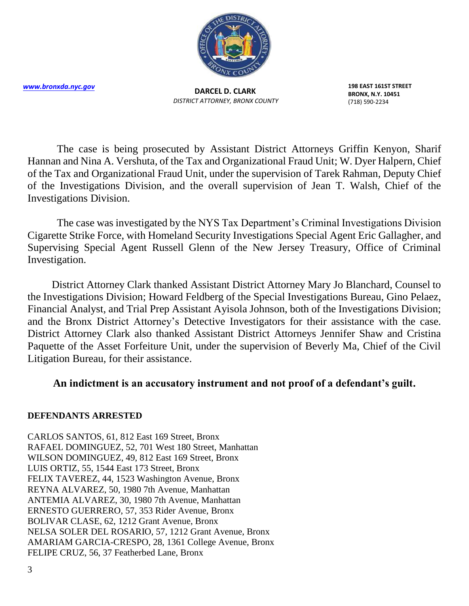

**DARCEL D. CLARK** *DISTRICT ATTORNEY, BRONX COUNTY* **198 EAST 161ST STREET BRONX, N.Y. 10451** (718) 590-2234

 The case is being prosecuted by Assistant District Attorneys Griffin Kenyon, Sharif Hannan and Nina A. Vershuta, of the Tax and Organizational Fraud Unit; W. Dyer Halpern, Chief of the Tax and Organizational Fraud Unit, under the supervision of Tarek Rahman, Deputy Chief of the Investigations Division, and the overall supervision of Jean T. Walsh, Chief of the Investigations Division.

 The case was investigated by the NYS Tax Department's Criminal Investigations Division Cigarette Strike Force, with Homeland Security Investigations Special Agent Eric Gallagher, and Supervising Special Agent Russell Glenn of the New Jersey Treasury, Office of Criminal Investigation.

 District Attorney Clark thanked Assistant District Attorney Mary Jo Blanchard, Counsel to the Investigations Division; Howard Feldberg of the Special Investigations Bureau, Gino Pelaez, Financial Analyst, and Trial Prep Assistant Ayisola Johnson, both of the Investigations Division; and the Bronx District Attorney's Detective Investigators for their assistance with the case. District Attorney Clark also thanked Assistant District Attorneys Jennifer Shaw and Cristina Paquette of the Asset Forfeiture Unit, under the supervision of Beverly Ma, Chief of the Civil Litigation Bureau, for their assistance.

## **An indictment is an accusatory instrument and not proof of a defendant's guilt.**

## **DEFENDANTS ARRESTED**

CARLOS SANTOS, 61, 812 East 169 Street, Bronx RAFAEL DOMINGUEZ, 52, 701 West 180 Street, Manhattan WILSON DOMINGUEZ, 49, 812 East 169 Street, Bronx LUIS ORTIZ, 55, 1544 East 173 Street, Bronx FELIX TAVEREZ, 44, 1523 Washington Avenue, Bronx REYNA ALVAREZ, 50, 1980 7th Avenue, Manhattan ANTEMIA ALVAREZ, 30, 1980 7th Avenue, Manhattan ERNESTO GUERRERO, 57, 353 Rider Avenue, Bronx BOLIVAR CLASE, 62, 1212 Grant Avenue, Bronx NELSA SOLER DEL ROSARIO, 57, 1212 Grant Avenue, Bronx AMARIAM GARCIA-CRESPO, 28, 1361 College Avenue, Bronx FELIPE CRUZ, 56, 37 Featherbed Lane, Bronx